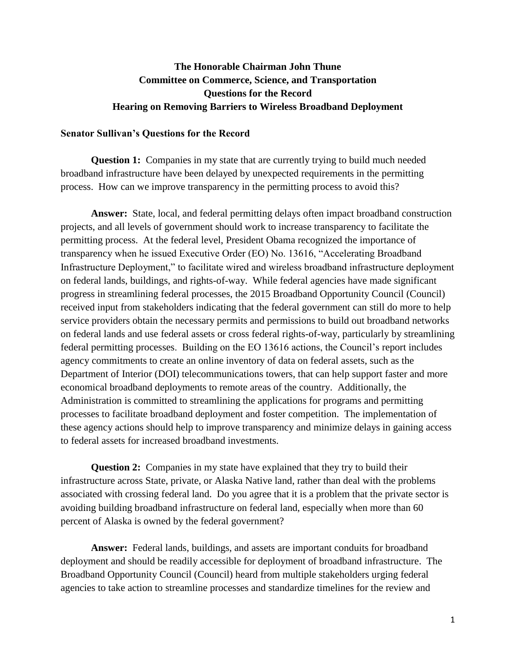# **The Honorable Chairman John Thune Committee on Commerce, Science, and Transportation Questions for the Record Hearing on Removing Barriers to Wireless Broadband Deployment**

### **Senator Sullivan's Questions for the Record**

**Question 1:** Companies in my state that are currently trying to build much needed broadband infrastructure have been delayed by unexpected requirements in the permitting process. How can we improve transparency in the permitting process to avoid this?

**Answer:** State, local, and federal permitting delays often impact broadband construction projects, and all levels of government should work to increase transparency to facilitate the permitting process. At the federal level, President Obama recognized the importance of transparency when he issued Executive Order (EO) No. 13616, "Accelerating Broadband Infrastructure Deployment," to facilitate wired and wireless broadband infrastructure deployment on federal lands, buildings, and rights-of-way. While federal agencies have made significant progress in streamlining federal processes, the 2015 Broadband Opportunity Council (Council) received input from stakeholders indicating that the federal government can still do more to help service providers obtain the necessary permits and permissions to build out broadband networks on federal lands and use federal assets or cross federal rights-of-way, particularly by streamlining federal permitting processes. Building on the EO 13616 actions, the Council's report includes agency commitments to create an online inventory of data on federal assets, such as the Department of Interior (DOI) telecommunications towers, that can help support faster and more economical broadband deployments to remote areas of the country. Additionally, the Administration is committed to streamlining the applications for programs and permitting processes to facilitate broadband deployment and foster competition. The implementation of these agency actions should help to improve transparency and minimize delays in gaining access to federal assets for increased broadband investments.

**Question 2:** Companies in my state have explained that they try to build their infrastructure across State, private, or Alaska Native land, rather than deal with the problems associated with crossing federal land. Do you agree that it is a problem that the private sector is avoiding building broadband infrastructure on federal land, especially when more than 60 percent of Alaska is owned by the federal government?

**Answer:** Federal lands, buildings, and assets are important conduits for broadband deployment and should be readily accessible for deployment of broadband infrastructure. The Broadband Opportunity Council (Council) heard from multiple stakeholders urging federal agencies to take action to streamline processes and standardize timelines for the review and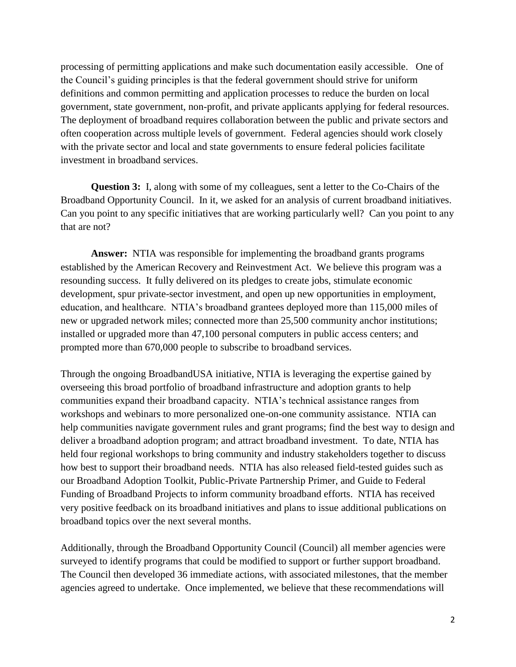processing of permitting applications and make such documentation easily accessible. One of the Council's guiding principles is that the federal government should strive for uniform definitions and common permitting and application processes to reduce the burden on local government, state government, non-profit, and private applicants applying for federal resources. The deployment of broadband requires collaboration between the public and private sectors and often cooperation across multiple levels of government. Federal agencies should work closely with the private sector and local and state governments to ensure federal policies facilitate investment in broadband services.

**Question 3:** I, along with some of my colleagues, sent a letter to the Co-Chairs of the Broadband Opportunity Council. In it, we asked for an analysis of current broadband initiatives. Can you point to any specific initiatives that are working particularly well? Can you point to any that are not?

**Answer:** NTIA was responsible for implementing the broadband grants programs established by the American Recovery and Reinvestment Act. We believe this program was a resounding success. It fully delivered on its pledges to create jobs, stimulate economic development, spur private-sector investment, and open up new opportunities in employment, education, and healthcare. NTIA's broadband grantees deployed more than 115,000 miles of new or upgraded network miles; connected more than 25,500 community anchor institutions; installed or upgraded more than 47,100 personal computers in public access centers; and prompted more than 670,000 people to subscribe to broadband services.

Through the ongoing BroadbandUSA initiative, NTIA is leveraging the expertise gained by overseeing this broad portfolio of broadband infrastructure and adoption grants to help communities expand their broadband capacity. NTIA's technical assistance ranges from workshops and webinars to more personalized one-on-one community assistance. NTIA can help communities navigate government rules and grant programs; find the best way to design and deliver a broadband adoption program; and attract broadband investment. To date, NTIA has held four regional workshops to bring community and industry stakeholders together to discuss how best to support their broadband needs. NTIA has also released field-tested guides such as our Broadband Adoption Toolkit, Public-Private Partnership Primer, and Guide to Federal Funding of Broadband Projects to inform community broadband efforts. NTIA has received very positive feedback on its broadband initiatives and plans to issue additional publications on broadband topics over the next several months.

Additionally, through the Broadband Opportunity Council (Council) all member agencies were surveyed to identify programs that could be modified to support or further support broadband. The Council then developed 36 immediate actions, with associated milestones, that the member agencies agreed to undertake. Once implemented, we believe that these recommendations will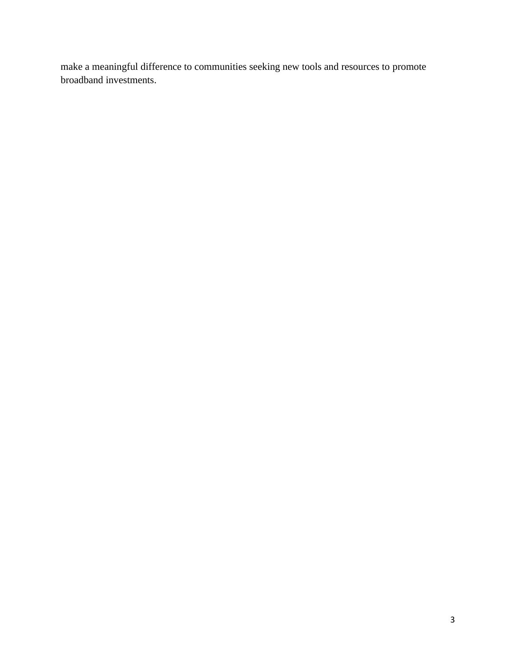make a meaningful difference to communities seeking new tools and resources to promote broadband investments.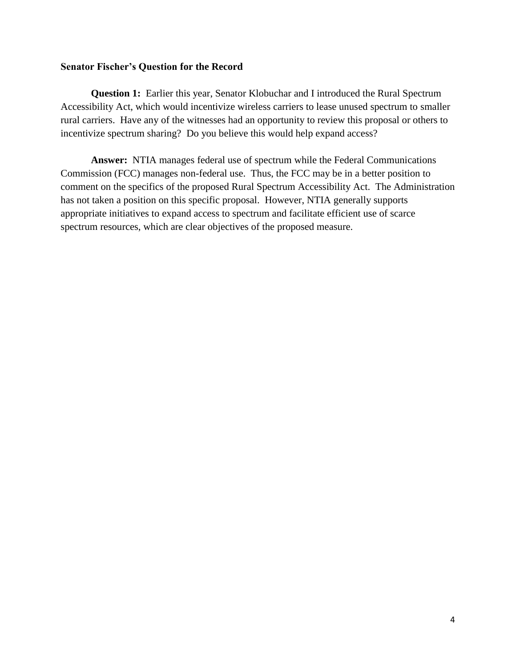## **Senator Fischer's Question for the Record**

**Question 1:** Earlier this year, Senator Klobuchar and I introduced the Rural Spectrum Accessibility Act, which would incentivize wireless carriers to lease unused spectrum to smaller rural carriers. Have any of the witnesses had an opportunity to review this proposal or others to incentivize spectrum sharing? Do you believe this would help expand access?

**Answer:** NTIA manages federal use of spectrum while the Federal Communications Commission (FCC) manages non-federal use. Thus, the FCC may be in a better position to comment on the specifics of the proposed Rural Spectrum Accessibility Act. The Administration has not taken a position on this specific proposal. However, NTIA generally supports appropriate initiatives to expand access to spectrum and facilitate efficient use of scarce spectrum resources, which are clear objectives of the proposed measure.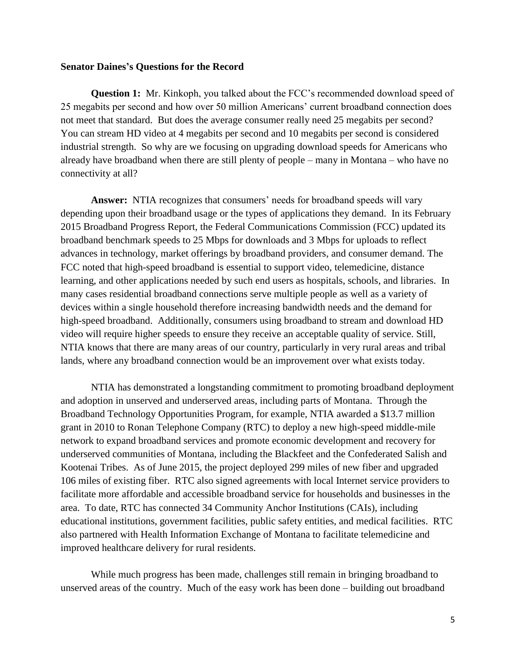### **Senator Daines's Questions for the Record**

**Question 1:** Mr. Kinkoph, you talked about the FCC's recommended download speed of 25 megabits per second and how over 50 million Americans' current broadband connection does not meet that standard. But does the average consumer really need 25 megabits per second? You can stream HD video at 4 megabits per second and 10 megabits per second is considered industrial strength. So why are we focusing on upgrading download speeds for Americans who already have broadband when there are still plenty of people – many in Montana – who have no connectivity at all?

**Answer:** NTIA recognizes that consumers' needs for broadband speeds will vary depending upon their broadband usage or the types of applications they demand. In its February 2015 Broadband Progress Report, the Federal Communications Commission (FCC) updated its broadband benchmark speeds to 25 Mbps for downloads and 3 Mbps for uploads to reflect advances in technology, market offerings by broadband providers, and consumer demand. The FCC noted that high-speed broadband is essential to support video, telemedicine, distance learning, and other applications needed by such end users as hospitals, schools, and libraries. In many cases residential broadband connections serve multiple people as well as a variety of devices within a single household therefore increasing bandwidth needs and the demand for high-speed broadband. Additionally, consumers using broadband to stream and download HD video will require higher speeds to ensure they receive an acceptable quality of service. Still, NTIA knows that there are many areas of our country, particularly in very rural areas and tribal lands, where any broadband connection would be an improvement over what exists today.

NTIA has demonstrated a longstanding commitment to promoting broadband deployment and adoption in unserved and underserved areas, including parts of Montana. Through the Broadband Technology Opportunities Program, for example, NTIA awarded a \$13.7 million grant in 2010 to Ronan Telephone Company (RTC) to deploy a new high-speed middle-mile network to expand broadband services and promote economic development and recovery for underserved communities of Montana, including the Blackfeet and the Confederated Salish and Kootenai Tribes. As of June 2015, the project deployed 299 miles of new fiber and upgraded 106 miles of existing fiber. RTC also signed agreements with local Internet service providers to facilitate more affordable and accessible broadband service for households and businesses in the area. To date, RTC has connected 34 Community Anchor Institutions (CAIs), including educational institutions, government facilities, public safety entities, and medical facilities. RTC also partnered with Health Information Exchange of Montana to facilitate telemedicine and improved healthcare delivery for rural residents.

While much progress has been made, challenges still remain in bringing broadband to unserved areas of the country. Much of the easy work has been done – building out broadband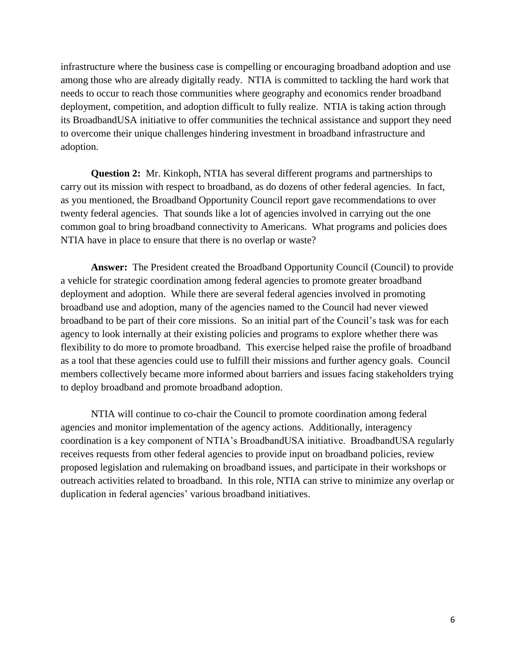infrastructure where the business case is compelling or encouraging broadband adoption and use among those who are already digitally ready. NTIA is committed to tackling the hard work that needs to occur to reach those communities where geography and economics render broadband deployment, competition, and adoption difficult to fully realize. NTIA is taking action through its BroadbandUSA initiative to offer communities the technical assistance and support they need to overcome their unique challenges hindering investment in broadband infrastructure and adoption.

**Question 2:** Mr. Kinkoph, NTIA has several different programs and partnerships to carry out its mission with respect to broadband, as do dozens of other federal agencies. In fact, as you mentioned, the Broadband Opportunity Council report gave recommendations to over twenty federal agencies. That sounds like a lot of agencies involved in carrying out the one common goal to bring broadband connectivity to Americans. What programs and policies does NTIA have in place to ensure that there is no overlap or waste?

**Answer:** The President created the Broadband Opportunity Council (Council) to provide a vehicle for strategic coordination among federal agencies to promote greater broadband deployment and adoption. While there are several federal agencies involved in promoting broadband use and adoption, many of the agencies named to the Council had never viewed broadband to be part of their core missions. So an initial part of the Council's task was for each agency to look internally at their existing policies and programs to explore whether there was flexibility to do more to promote broadband. This exercise helped raise the profile of broadband as a tool that these agencies could use to fulfill their missions and further agency goals. Council members collectively became more informed about barriers and issues facing stakeholders trying to deploy broadband and promote broadband adoption.

NTIA will continue to co-chair the Council to promote coordination among federal agencies and monitor implementation of the agency actions. Additionally, interagency coordination is a key component of NTIA's BroadbandUSA initiative. BroadbandUSA regularly receives requests from other federal agencies to provide input on broadband policies, review proposed legislation and rulemaking on broadband issues, and participate in their workshops or outreach activities related to broadband. In this role, NTIA can strive to minimize any overlap or duplication in federal agencies' various broadband initiatives.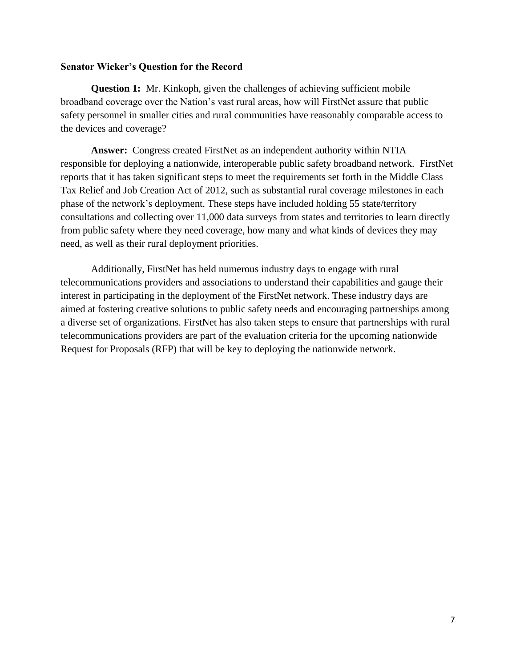## **Senator Wicker's Question for the Record**

**Question 1:** Mr. Kinkoph, given the challenges of achieving sufficient mobile broadband coverage over the Nation's vast rural areas, how will FirstNet assure that public safety personnel in smaller cities and rural communities have reasonably comparable access to the devices and coverage?

**Answer:** Congress created FirstNet as an independent authority within NTIA responsible for deploying a nationwide, interoperable public safety broadband network. FirstNet reports that it has taken significant steps to meet the requirements set forth in the Middle Class Tax Relief and Job Creation Act of 2012, such as substantial rural coverage milestones in each phase of the network's deployment. These steps have included holding 55 state/territory consultations and collecting over 11,000 data surveys from states and territories to learn directly from public safety where they need coverage, how many and what kinds of devices they may need, as well as their rural deployment priorities.

Additionally, FirstNet has held numerous industry days to engage with rural telecommunications providers and associations to understand their capabilities and gauge their interest in participating in the deployment of the FirstNet network. These industry days are aimed at fostering creative solutions to public safety needs and encouraging partnerships among a diverse set of organizations. FirstNet has also taken steps to ensure that partnerships with rural telecommunications providers are part of the evaluation criteria for the upcoming nationwide Request for Proposals (RFP) that will be key to deploying the nationwide network.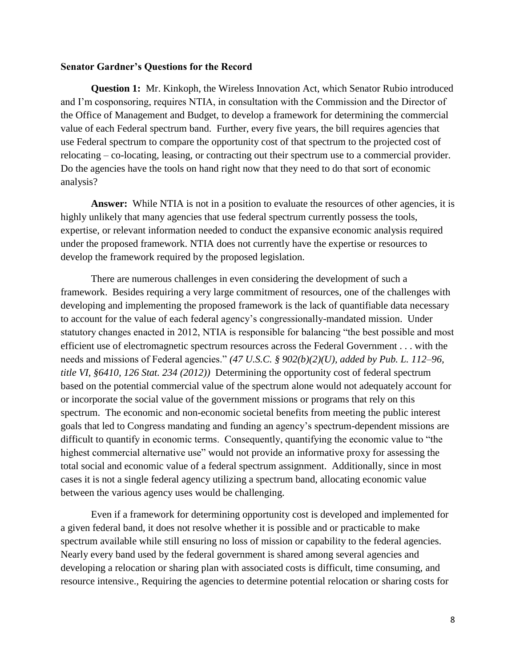### **Senator Gardner's Questions for the Record**

**Question 1:** Mr. Kinkoph, the Wireless Innovation Act, which Senator Rubio introduced and I'm cosponsoring, requires NTIA, in consultation with the Commission and the Director of the Office of Management and Budget, to develop a framework for determining the commercial value of each Federal spectrum band. Further, every five years, the bill requires agencies that use Federal spectrum to compare the opportunity cost of that spectrum to the projected cost of relocating – co-locating, leasing, or contracting out their spectrum use to a commercial provider. Do the agencies have the tools on hand right now that they need to do that sort of economic analysis?

Answer: While NTIA is not in a position to evaluate the resources of other agencies, it is highly unlikely that many agencies that use federal spectrum currently possess the tools, expertise, or relevant information needed to conduct the expansive economic analysis required under the proposed framework. NTIA does not currently have the expertise or resources to develop the framework required by the proposed legislation.

There are numerous challenges in even considering the development of such a framework. Besides requiring a very large commitment of resources, one of the challenges with developing and implementing the proposed framework is the lack of quantifiable data necessary to account for the value of each federal agency's congressionally-mandated mission. Under statutory changes enacted in 2012, NTIA is responsible for balancing "the best possible and most efficient use of electromagnetic spectrum resources across the Federal Government . . . with the needs and missions of Federal agencies." *(47 U.S.C. § 902(b)(2)(U), added by Pub. L. 112–96, title VI, §6410, 126 Stat. 234 (2012))* Determining the opportunity cost of federal spectrum based on the potential commercial value of the spectrum alone would not adequately account for or incorporate the social value of the government missions or programs that rely on this spectrum. The economic and non-economic societal benefits from meeting the public interest goals that led to Congress mandating and funding an agency's spectrum-dependent missions are difficult to quantify in economic terms. Consequently, quantifying the economic value to "the highest commercial alternative use" would not provide an informative proxy for assessing the total social and economic value of a federal spectrum assignment.Additionally, since in most cases it is not a single federal agency utilizing a spectrum band, allocating economic value between the various agency uses would be challenging.

Even if a framework for determining opportunity cost is developed and implemented for a given federal band, it does not resolve whether it is possible and or practicable to make spectrum available while still ensuring no loss of mission or capability to the federal agencies. Nearly every band used by the federal government is shared among several agencies and developing a relocation or sharing plan with associated costs is difficult, time consuming, and resource intensive., Requiring the agencies to determine potential relocation or sharing costs for